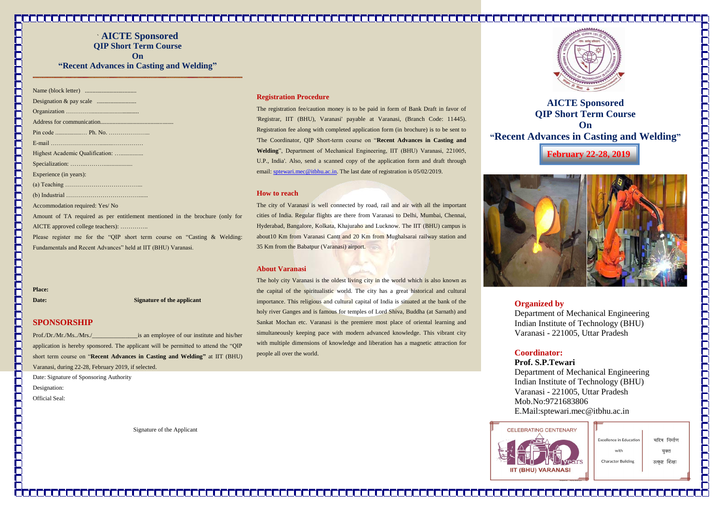` **AICTE Sponsored QIP Short Term Course On "Recent Advances in Casting and Welding"**

| Experience (in years):                                                       |
|------------------------------------------------------------------------------|
|                                                                              |
|                                                                              |
| Accommodation required: Yes/ No                                              |
| Amount of TA required as per entitlement mentioned in the brochure (only for |
| AICTE approved college teachers):                                            |
| Please register me for the "QIP short term course on "Casting $\&$ Welding:  |
| Fundamentals and Recent Advances" held at IIT (BHU) Varanasi.                |

The registration fee/caution money is to be paid in form of Bank Draft in favor of 'Registrar, IIT (BHU), Varanasi' payable at Varanasi, (Branch Code: 11445). Registration fee along with completed application form (in brochure) is to be sent to 'The Coordinator, QIP Short-term course on "**Recent Advances in Casting and Welding**", Department of Mechanical Engineering, IIT (BHU) Varanasi, 221005, U.P., India'. Also, send a scanned copy of the application form and draft through email: [sptewari.mec@itbhu.ac.in.](mailto:sptewari.mec@itbhu.ac.in) The last date of registration is 05/02/2019.

**Place:**

**Date:** Signature of the applicant

# **SPONSORSHIP**

Prof./Dr./Mr./Ms../Mrs./\_\_\_\_\_\_\_\_\_\_\_\_\_\_\_is an employee of our institute and his/her application is hereby sponsored. The applicant will be permitted to attend the "QIP short term course on "**Recent Advances in Casting and Welding"** at IIT (BHU) Varanasi, during 22-28, February 2019, if selected.

Date: Signature of Sponsoring Authority

Designation:

ГП

Official Seal:

Signature of the Applicant

#### **Registration Procedure**

# **How to reach**

The city of Varanasi is well connected by road, rail and air with all the important cities of India. Regular flights are there from Varanasi to Delhi, Mumbai, Chennai, Hyderabad, Bangalore, Kolkata, Khajuraho and Lucknow. The IIT (BHU) campus is about10 Km from Varanasi Cantt and 20 Km from Mughalsarai railway station and 35 Km from the Babatpur (Varanasi) airport.

# **About Varanasi**

The holy city Varanasi is the oldest living city in the world which is also known as the capital of the spiritualistic world. The city has a great historical and cultural importance. This religious and cultural capital of India is situated at the bank of the holy river Ganges and is famous for temples of Lord Shiva, Buddha (at Sarnath) and Sankat Mochan etc. Varanasi is the premiere most place of oriental learning and simultaneously keeping pace with modern advanced knowledge. This vibrant city with multiple dimensions of knowledge and liberation has a magnetic attraction for people all over the world.





**Organized by**  Department of Mechanical Engineering Indian Institute of Technology (BHU) Varanasi - 221005, Uttar Pradesh

**Coordinator: Prof. S.P.Tewari** Department of Mechanical Engineering Indian Institute of Technology (BHU) Varanasi - 221005, Uttar Pradesh Mob.No:9721683806 E.Mail:sptewari.mec@itbhu.ac.in



**February 22-28, 2019**